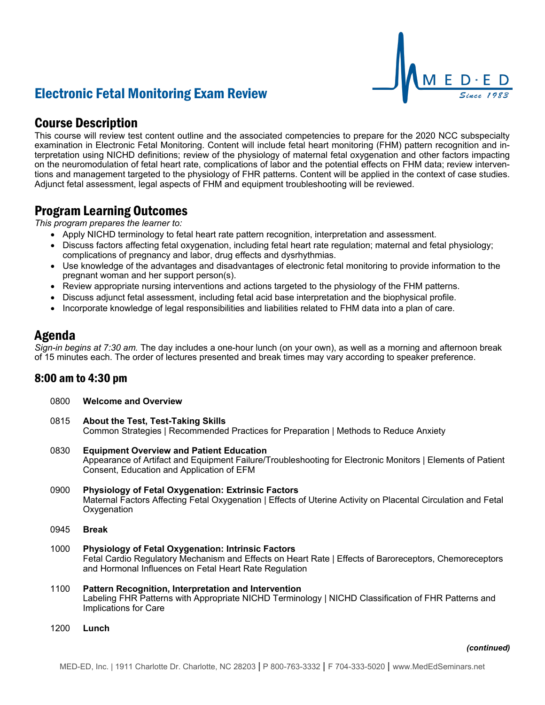# Electronic Fetal Monitoring Exam Review

## Course Description

This course will review test content outline and the associated competencies to prepare for the 2020 NCC subspecialty examination in Electronic Fetal Monitoring. Content will include fetal heart monitoring (FHM) pattern recognition and interpretation using NICHD definitions; review of the physiology of maternal fetal oxygenation and other factors impacting on the neuromodulation of fetal heart rate, complications of labor and the potential effects on FHM data; review interventions and management targeted to the physiology of FHR patterns. Content will be applied in the context of case studies. Adjunct fetal assessment, legal aspects of FHM and equipment troubleshooting will be reviewed.

### Program Learning Outcomes

*This program prepares the learner to:*

- Apply NICHD terminology to fetal heart rate pattern recognition, interpretation and assessment.
- Discuss factors affecting fetal oxygenation, including fetal heart rate regulation; maternal and fetal physiology; complications of pregnancy and labor, drug effects and dysrhythmias.
- Use knowledge of the advantages and disadvantages of electronic fetal monitoring to provide information to the pregnant woman and her support person(s).
- Review appropriate nursing interventions and actions targeted to the physiology of the FHM patterns.
- Discuss adjunct fetal assessment, including fetal acid base interpretation and the biophysical profile.
- Incorporate knowledge of legal responsibilities and liabilities related to FHM data into a plan of care.

### Agenda

*Sign-in begins at 7:30 am.* The day includes a one-hour lunch (on your own), as well as a morning and afternoon break of 15 minutes each. The order of lectures presented and break times may vary according to speaker preference.

### 8:00 am to 4:30 pm

- 0800 **Welcome and Overview**
- 0815 **About the Test, Test-Taking Skills** Common Strategies | Recommended Practices for Preparation | Methods to Reduce Anxiety
- 0830 **Equipment Overview and Patient Education** Appearance of Artifact and Equipment Failure/Troubleshooting for Electronic Monitors | Elements of Patient Consent, Education and Application of EFM
- 0900 **Physiology of Fetal Oxygenation: Extrinsic Factors** Maternal Factors Affecting Fetal Oxygenation | Effects of Uterine Activity on Placental Circulation and Fetal **Oxygenation**
- 0945 **Break**
- 1000 **Physiology of Fetal Oxygenation: Intrinsic Factors** Fetal Cardio Regulatory Mechanism and Effects on Heart Rate | Effects of Baroreceptors, Chemoreceptors and Hormonal Influences on Fetal Heart Rate Regulation
- 1100 **Pattern Recognition, Interpretation and Intervention** Labeling FHR Patterns with Appropriate NICHD Terminology | NICHD Classification of FHR Patterns and Implications for Care
- 1200 **Lunch**

M E D · E D